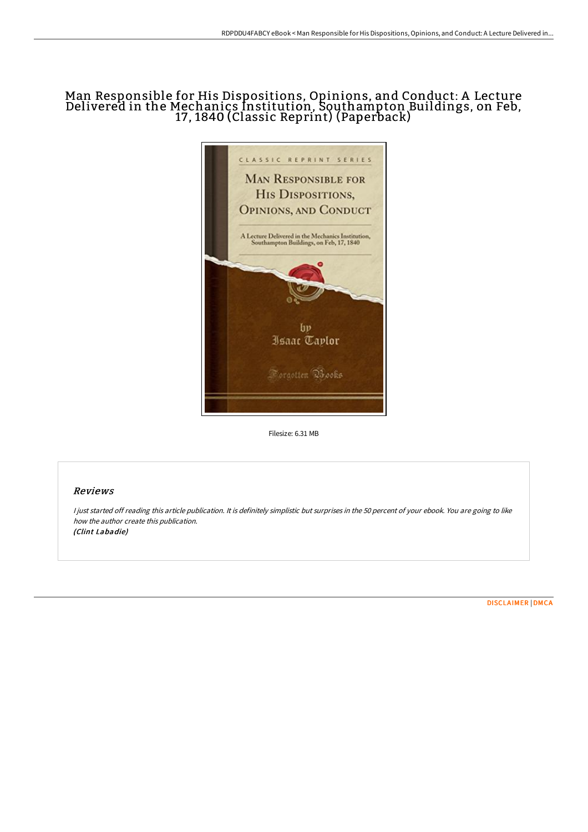# Man Responsible for His Dispositions, Opinions, and Conduct: A Lecture Delivered in the Mechanics Institution, Southampton Buildings, on Feb, 17, 1840 (Classic Reprint) (Paperback)



Filesize: 6.31 MB

# Reviews

I just started off reading this article publication. It is definitely simplistic but surprises in the 50 percent of your ebook. You are going to like how the author create this publication. (Clint Labadie)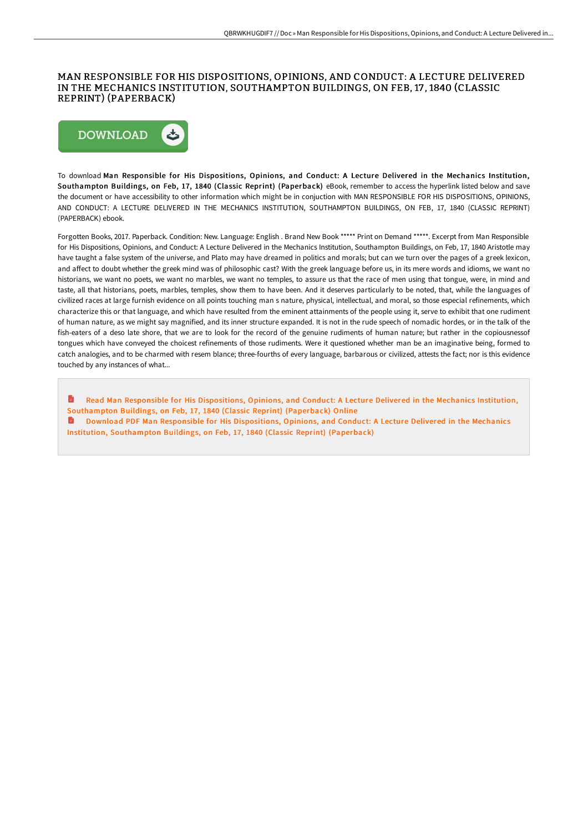### MAN RESPONSIBLE FOR HIS DISPOSITIONS, OPINIONS, AND CONDUCT: A LECTURE DELIVERED IN THE MECHANICS INSTITUTION, SOUTHAMPTON BUILDINGS, ON FEB, 17 , 1840 (CLASSIC REPRINT) (PAPERBACK)



To download Man Responsible for His Dispositions, Opinions, and Conduct: A Lecture Delivered in the Mechanics Institution, Southampton Buildings, on Feb, 17, 1840 (Classic Reprint) (Paperback) eBook, remember to access the hyperlink listed below and save the document or have accessibility to other information which might be in conjuction with MAN RESPONSIBLE FOR HIS DISPOSITIONS, OPINIONS, AND CONDUCT: A LECTURE DELIVERED IN THE MECHANICS INSTITUTION, SOUTHAMPTON BUILDINGS, ON FEB, 17, 1840 (CLASSIC REPRINT) (PAPERBACK) ebook.

Forgotten Books, 2017. Paperback. Condition: New. Language: English . Brand New Book \*\*\*\*\* Print on Demand \*\*\*\*\*. Excerpt from Man Responsible for His Dispositions, Opinions, and Conduct: A Lecture Delivered in the Mechanics Institution, Southampton Buildings, on Feb, 17, 1840 Aristotle may have taught a false system of the universe, and Plato may have dreamed in politics and morals; but can we turn over the pages of a greek lexicon, and affect to doubt whether the greek mind was of philosophic cast? With the greek language before us, in its mere words and idioms, we want no historians, we want no poets, we want no marbles, we want no temples, to assure us that the race of men using that tongue, were, in mind and taste, all that historians, poets, marbles, temples, show them to have been. And it deserves particularly to be noted, that, while the languages of civilized races at large furnish evidence on all points touching man s nature, physical, intellectual, and moral, so those especial refinements, which characterize this or that language, and which have resulted from the eminent attainments of the people using it, serve to exhibit that one rudiment of human nature, as we might say magnified, and its inner structure expanded. It is not in the rude speech of nomadic hordes, or in the talk of the fish-eaters of a deso late shore, that we are to look for the record of the genuine rudiments of human nature; but rather in the copiousnessof tongues which have conveyed the choicest refinements of those rudiments. Were it questioned whether man be an imaginative being, formed to catch analogies, and to be charmed with resem blance; three-fourths of every language, barbarous or civilized, attests the fact; nor is this evidence touched by any instances of what...

Read Man Responsible for His Dispositions, Opinions, and Conduct: A Lecture Delivered in the Mechanics Institution, [Southampton](http://www.bookdirs.com/man-responsible-for-his-dispositions-opinions-an.html) Buildings, on Feb, 17, 1840 (Classic Reprint) (Paperback) Online

Download PDF Man Responsible for His Dispositions, Opinions, and Conduct: A Lecture Delivered in the Mechanics Institution, [Southampton](http://www.bookdirs.com/man-responsible-for-his-dispositions-opinions-an.html) Buildings, on Feb, 17, 1840 (Classic Reprint) (Paperback)